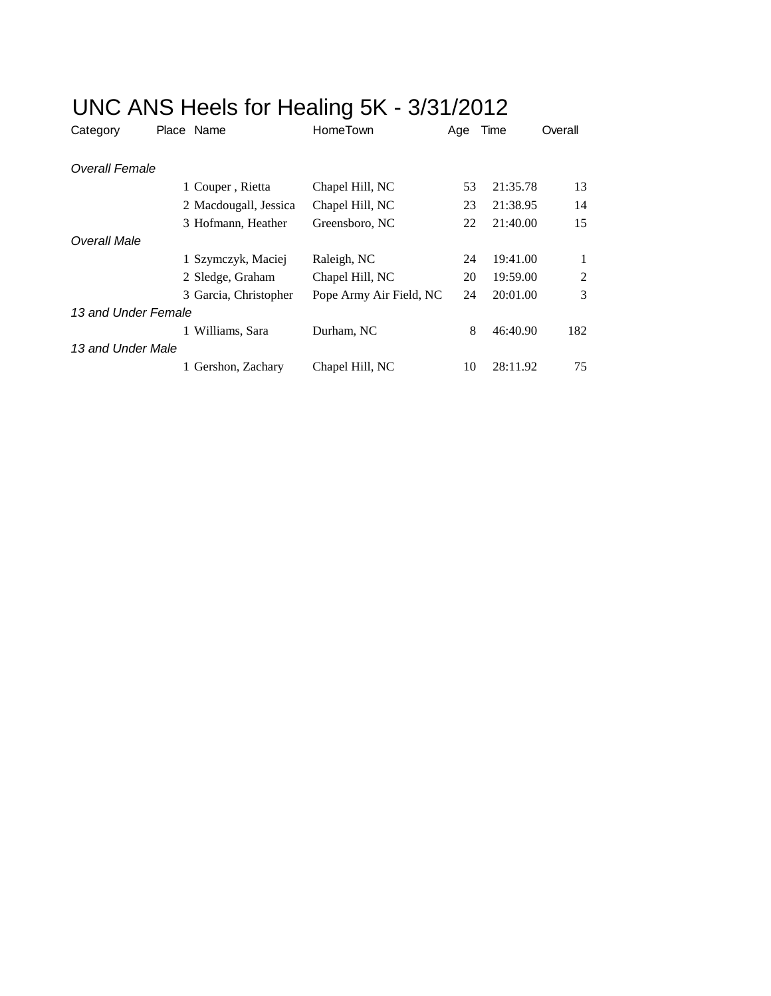| Category              | Place Name            | HomeTown                | Age | Time     | Overall        |
|-----------------------|-----------------------|-------------------------|-----|----------|----------------|
| <b>Overall Female</b> |                       |                         |     |          |                |
|                       | 1 Couper, Rietta      | Chapel Hill, NC         | 53  | 21:35.78 | 13             |
|                       | 2 Macdougall, Jessica | Chapel Hill, NC         | 23  | 21:38.95 | 14             |
|                       | 3 Hofmann, Heather    | Greensboro, NC          | 22  | 21:40.00 | 15             |
| Overall Male          |                       |                         |     |          |                |
|                       | 1 Szymczyk, Maciej    | Raleigh, NC             | 24  | 19:41.00 | $\mathbf{1}$   |
|                       | 2 Sledge, Graham      | Chapel Hill, NC         | 20  | 19:59.00 | $\overline{2}$ |
|                       | 3 Garcia, Christopher | Pope Army Air Field, NC | 24  | 20:01.00 | 3              |
| 13 and Under Female   |                       |                         |     |          |                |
|                       | 1 Williams, Sara      | Durham, NC              | 8   | 46:40.90 | 182            |
| 13 and Under Male     |                       |                         |     |          |                |
|                       | 1 Gershon, Zachary    | Chapel Hill, NC         | 10  | 28:11.92 | 75             |

## UNC ANS Heels for Healing 5K - 3/31/2012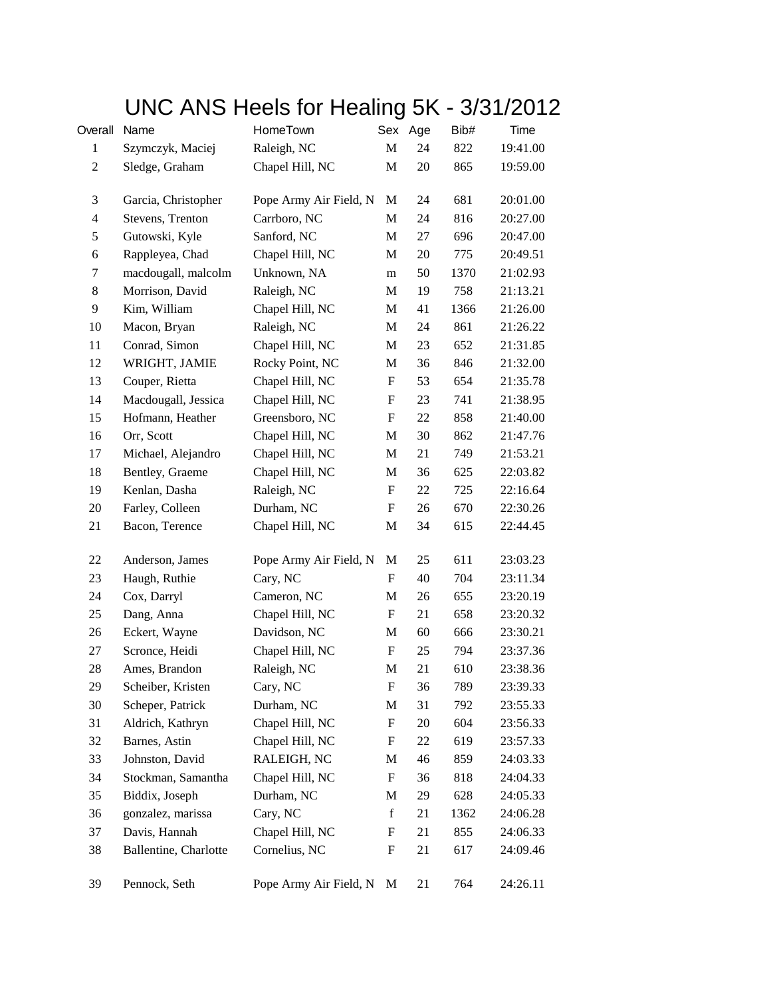## UNC ANS Heels for Healing 5K - 3/31/2012

| Overall                 | Name                  | HomeTown               |                           | Sex Age | Bib# | Time     |
|-------------------------|-----------------------|------------------------|---------------------------|---------|------|----------|
| $\mathbf{1}$            | Szymczyk, Maciej      | Raleigh, NC            | $\mathbf M$               | 24      | 822  | 19:41.00 |
| $\overline{c}$          | Sledge, Graham        | Chapel Hill, NC        | M                         | 20      | 865  | 19:59.00 |
| 3                       | Garcia, Christopher   | Pope Army Air Field, N | M                         | 24      | 681  | 20:01.00 |
| $\overline{\mathbf{4}}$ | Stevens, Trenton      | Carrboro, NC           | M                         | 24      | 816  | 20:27.00 |
| 5                       | Gutowski, Kyle        | Sanford, NC            | M                         | 27      | 696  | 20:47.00 |
| 6                       | Rappleyea, Chad       | Chapel Hill, NC        | M                         | 20      | 775  | 20:49.51 |
| 7                       | macdougall, malcolm   | Unknown, NA            | m                         | 50      | 1370 | 21:02.93 |
| $\,8\,$                 | Morrison, David       | Raleigh, NC            | $\mathbf M$               | 19      | 758  | 21:13.21 |
| 9                       | Kim, William          | Chapel Hill, NC        | M                         | 41      | 1366 | 21:26.00 |
| 10                      | Macon, Bryan          | Raleigh, NC            | M                         | 24      | 861  | 21:26.22 |
| 11                      | Conrad, Simon         | Chapel Hill, NC        | M                         | 23      | 652  | 21:31.85 |
| 12                      | WRIGHT, JAMIE         | Rocky Point, NC        | M                         | 36      | 846  | 21:32.00 |
| 13                      | Couper, Rietta        | Chapel Hill, NC        | ${\rm F}$                 | 53      | 654  | 21:35.78 |
| 14                      | Macdougall, Jessica   | Chapel Hill, NC        | F                         | 23      | 741  | 21:38.95 |
| 15                      | Hofmann, Heather      | Greensboro, NC         | F                         | 22      | 858  | 21:40.00 |
| 16                      | Orr, Scott            | Chapel Hill, NC        | M                         | 30      | 862  | 21:47.76 |
| 17                      | Michael, Alejandro    | Chapel Hill, NC        | M                         | 21      | 749  | 21:53.21 |
| 18                      | Bentley, Graeme       | Chapel Hill, NC        | $\mathbf M$               | 36      | 625  | 22:03.82 |
| 19                      | Kenlan, Dasha         | Raleigh, NC            | F                         | 22      | 725  | 22:16.64 |
| 20                      | Farley, Colleen       | Durham, NC             | F                         | 26      | 670  | 22:30.26 |
| 21                      | Bacon, Terence        | Chapel Hill, NC        | M                         | 34      | 615  | 22:44.45 |
| 22                      | Anderson, James       | Pope Army Air Field, N | M                         | 25      | 611  | 23:03.23 |
| 23                      | Haugh, Ruthie         | Cary, NC               | F                         | 40      | 704  | 23:11.34 |
| 24                      | Cox, Darryl           | Cameron, NC            | M                         | 26      | 655  | 23:20.19 |
| 25                      | Dang, Anna            | Chapel Hill, NC        | F                         | 21      | 658  | 23:20.32 |
| 26                      | Eckert, Wayne         | Davidson, NC           | M                         | 60      | 666  | 23:30.21 |
| 27                      | Scronce, Heidi        | Chapel Hill, NC        | $\boldsymbol{\mathrm{F}}$ | 25      | 794  | 23:37.36 |
| 28                      | Ames, Brandon         | Raleigh, NC            | M                         | 21      | 610  | 23:38.36 |
| 29                      | Scheiber, Kristen     | Cary, NC               | ${\bf F}$                 | 36      | 789  | 23:39.33 |
| 30                      | Scheper, Patrick      | Durham, NC             | M                         | 31      | 792  | 23:55.33 |
| 31                      | Aldrich, Kathryn      | Chapel Hill, NC        | ${\rm F}$                 | 20      | 604  | 23:56.33 |
| 32                      | Barnes, Astin         | Chapel Hill, NC        | ${\rm F}$                 | 22      | 619  | 23:57.33 |
| 33                      | Johnston, David       | RALEIGH, NC            | M                         | 46      | 859  | 24:03.33 |
| 34                      | Stockman, Samantha    | Chapel Hill, NC        | ${\rm F}$                 | 36      | 818  | 24:04.33 |
| 35                      | Biddix, Joseph        | Durham, NC             | M                         | 29      | 628  | 24:05.33 |
| 36                      | gonzalez, marissa     | Cary, NC               | $\mathbf f$               | 21      | 1362 | 24:06.28 |
| 37                      | Davis, Hannah         | Chapel Hill, NC        | ${\rm F}$                 | 21      | 855  | 24:06.33 |
| 38                      | Ballentine, Charlotte | Cornelius, NC          | ${\rm F}$                 | 21      | 617  | 24:09.46 |
| 39                      | Pennock, Seth         | Pope Army Air Field, N | M                         | 21      | 764  | 24:26.11 |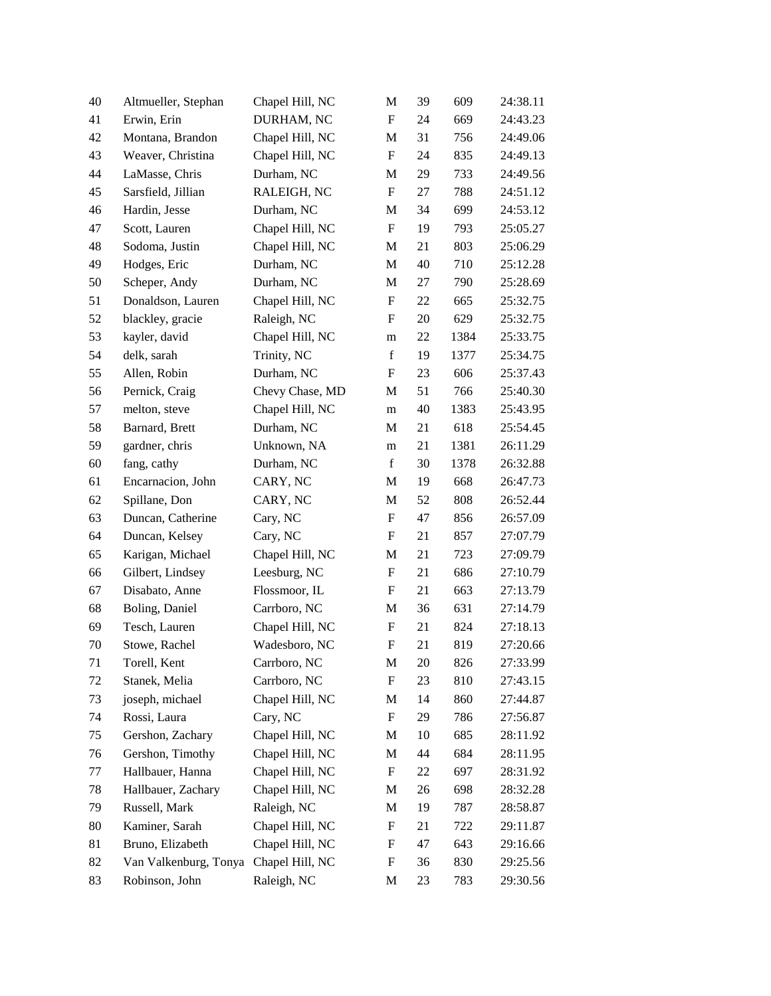| 40 | Altmueller, Stephan   | Chapel Hill, NC | M                         | 39 | 609  | 24:38.11 |
|----|-----------------------|-----------------|---------------------------|----|------|----------|
| 41 | Erwin, Erin           | DURHAM, NC      | $\mathbf F$               | 24 | 669  | 24:43.23 |
| 42 | Montana, Brandon      | Chapel Hill, NC | M                         | 31 | 756  | 24:49.06 |
| 43 | Weaver, Christina     | Chapel Hill, NC | F                         | 24 | 835  | 24:49.13 |
| 44 | LaMasse, Chris        | Durham, NC      | M                         | 29 | 733  | 24:49.56 |
| 45 | Sarsfield, Jillian    | RALEIGH, NC     | $\boldsymbol{\mathrm{F}}$ | 27 | 788  | 24:51.12 |
| 46 | Hardin, Jesse         | Durham, NC      | M                         | 34 | 699  | 24:53.12 |
| 47 | Scott, Lauren         | Chapel Hill, NC | $\mathbf F$               | 19 | 793  | 25:05.27 |
| 48 | Sodoma, Justin        | Chapel Hill, NC | M                         | 21 | 803  | 25:06.29 |
| 49 | Hodges, Eric          | Durham, NC      | $\mathbf M$               | 40 | 710  | 25:12.28 |
| 50 | Scheper, Andy         | Durham, NC      | M                         | 27 | 790  | 25:28.69 |
| 51 | Donaldson, Lauren     | Chapel Hill, NC | $\boldsymbol{\mathrm{F}}$ | 22 | 665  | 25:32.75 |
| 52 | blackley, gracie      | Raleigh, NC     | $\mathbf F$               | 20 | 629  | 25:32.75 |
| 53 | kayler, david         | Chapel Hill, NC | m                         | 22 | 1384 | 25:33.75 |
| 54 | delk, sarah           | Trinity, NC     | $\mathbf f$               | 19 | 1377 | 25:34.75 |
| 55 | Allen, Robin          | Durham, NC      | $\boldsymbol{\mathrm{F}}$ | 23 | 606  | 25:37.43 |
| 56 | Pernick, Craig        | Chevy Chase, MD | M                         | 51 | 766  | 25:40.30 |
| 57 | melton, steve         | Chapel Hill, NC | m                         | 40 | 1383 | 25:43.95 |
| 58 | Barnard, Brett        | Durham, NC      | M                         | 21 | 618  | 25:54.45 |
| 59 | gardner, chris        | Unknown, NA     | m                         | 21 | 1381 | 26:11.29 |
| 60 | fang, cathy           | Durham, NC      | $\mathbf f$               | 30 | 1378 | 26:32.88 |
| 61 | Encarnacion, John     | CARY, NC        | M                         | 19 | 668  | 26:47.73 |
| 62 | Spillane, Don         | CARY, NC        | M                         | 52 | 808  | 26:52.44 |
| 63 | Duncan, Catherine     | Cary, NC        | F                         | 47 | 856  | 26:57.09 |
| 64 | Duncan, Kelsey        | Cary, NC        | F                         | 21 | 857  | 27:07.79 |
| 65 | Karigan, Michael      | Chapel Hill, NC | M                         | 21 | 723  | 27:09.79 |
| 66 | Gilbert, Lindsey      | Leesburg, NC    | $\boldsymbol{\mathrm{F}}$ | 21 | 686  | 27:10.79 |
| 67 | Disabato, Anne        | Flossmoor, IL   | $\boldsymbol{\mathrm{F}}$ | 21 | 663  | 27:13.79 |
| 68 | Boling, Daniel        | Carrboro, NC    | M                         | 36 | 631  | 27:14.79 |
| 69 | Tesch, Lauren         | Chapel Hill, NC | ${\bf F}$                 | 21 | 824  | 27:18.13 |
| 70 | Stowe, Rachel         | Wadesboro, NC   | $\boldsymbol{\mathrm{F}}$ | 21 | 819  | 27:20.66 |
| 71 | Torell, Kent          | Carrboro, NC    | M                         | 20 | 826  | 27:33.99 |
| 72 | Stanek, Melia         | Carrboro, NC    | ${\rm F}$                 | 23 | 810  | 27:43.15 |
| 73 | joseph, michael       | Chapel Hill, NC | M                         | 14 | 860  | 27:44.87 |
| 74 | Rossi, Laura          | Cary, NC        | F                         | 29 | 786  | 27:56.87 |
| 75 | Gershon, Zachary      | Chapel Hill, NC | M                         | 10 | 685  | 28:11.92 |
| 76 | Gershon, Timothy      | Chapel Hill, NC | M                         | 44 | 684  | 28:11.95 |
| 77 | Hallbauer, Hanna      | Chapel Hill, NC | ${\rm F}$                 | 22 | 697  | 28:31.92 |
| 78 | Hallbauer, Zachary    | Chapel Hill, NC | M                         | 26 | 698  | 28:32.28 |
| 79 | Russell, Mark         | Raleigh, NC     | M                         | 19 | 787  | 28:58.87 |
| 80 | Kaminer, Sarah        | Chapel Hill, NC | $\boldsymbol{\mathrm{F}}$ | 21 | 722  | 29:11.87 |
| 81 | Bruno, Elizabeth      | Chapel Hill, NC | ${\rm F}$                 | 47 | 643  | 29:16.66 |
| 82 | Van Valkenburg, Tonya | Chapel Hill, NC | F                         | 36 | 830  | 29:25.56 |
| 83 | Robinson, John        | Raleigh, NC     | M                         | 23 | 783  | 29:30.56 |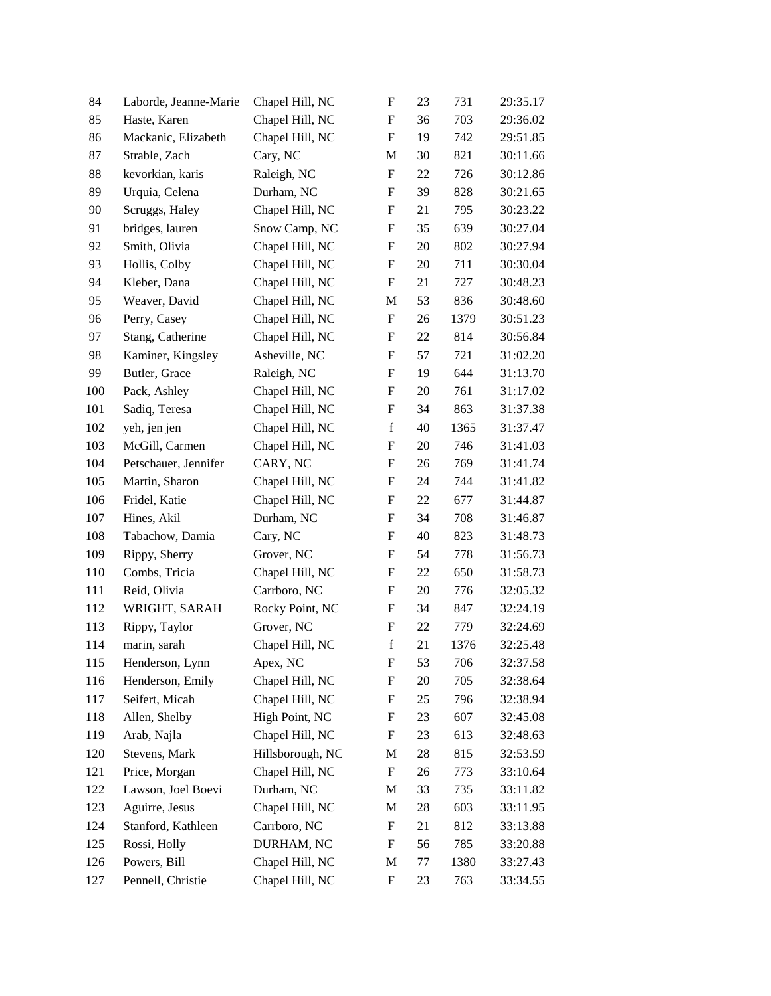| 84  | Laborde, Jeanne-Marie | Chapel Hill, NC  | ${\rm F}$                 | 23 | 731  | 29:35.17 |
|-----|-----------------------|------------------|---------------------------|----|------|----------|
| 85  | Haste, Karen          | Chapel Hill, NC  | ${\rm F}$                 | 36 | 703  | 29:36.02 |
| 86  | Mackanic, Elizabeth   | Chapel Hill, NC  | $\mathbf F$               | 19 | 742  | 29:51.85 |
| 87  | Strable, Zach         | Cary, NC         | M                         | 30 | 821  | 30:11.66 |
| 88  | kevorkian, karis      | Raleigh, NC      | ${\rm F}$                 | 22 | 726  | 30:12.86 |
| 89  | Urquia, Celena        | Durham, NC       | ${\rm F}$                 | 39 | 828  | 30:21.65 |
| 90  | Scruggs, Haley        | Chapel Hill, NC  | F                         | 21 | 795  | 30:23.22 |
| 91  | bridges, lauren       | Snow Camp, NC    | ${\rm F}$                 | 35 | 639  | 30:27.04 |
| 92  | Smith, Olivia         | Chapel Hill, NC  | F                         | 20 | 802  | 30:27.94 |
| 93  | Hollis, Colby         | Chapel Hill, NC  | ${\rm F}$                 | 20 | 711  | 30:30.04 |
| 94  | Kleber, Dana          | Chapel Hill, NC  | ${\rm F}$                 | 21 | 727  | 30:48.23 |
| 95  | Weaver, David         | Chapel Hill, NC  | M                         | 53 | 836  | 30:48.60 |
| 96  | Perry, Casey          | Chapel Hill, NC  | $\boldsymbol{\mathrm{F}}$ | 26 | 1379 | 30:51.23 |
| 97  | Stang, Catherine      | Chapel Hill, NC  | F                         | 22 | 814  | 30:56.84 |
| 98  | Kaminer, Kingsley     | Asheville, NC    | ${\rm F}$                 | 57 | 721  | 31:02.20 |
| 99  | Butler, Grace         | Raleigh, NC      | $\boldsymbol{\mathrm{F}}$ | 19 | 644  | 31:13.70 |
| 100 | Pack, Ashley          | Chapel Hill, NC  | F                         | 20 | 761  | 31:17.02 |
| 101 | Sadiq, Teresa         | Chapel Hill, NC  | $\boldsymbol{\mathrm{F}}$ | 34 | 863  | 31:37.38 |
| 102 | yeh, jen jen          | Chapel Hill, NC  | $\mathbf f$               | 40 | 1365 | 31:37.47 |
| 103 | McGill, Carmen        | Chapel Hill, NC  | ${\rm F}$                 | 20 | 746  | 31:41.03 |
| 104 | Petschauer, Jennifer  | CARY, NC         | $\boldsymbol{\mathrm{F}}$ | 26 | 769  | 31:41.74 |
| 105 | Martin, Sharon        | Chapel Hill, NC  | F                         | 24 | 744  | 31:41.82 |
| 106 | Fridel, Katie         | Chapel Hill, NC  | $\boldsymbol{\mathrm{F}}$ | 22 | 677  | 31:44.87 |
| 107 | Hines, Akil           | Durham, NC       | F                         | 34 | 708  | 31:46.87 |
| 108 | Tabachow, Damia       | Cary, NC         | F                         | 40 | 823  | 31:48.73 |
| 109 | Rippy, Sherry         | Grover, NC       | $\boldsymbol{\mathrm{F}}$ | 54 | 778  | 31:56.73 |
| 110 | Combs, Tricia         | Chapel Hill, NC  | F                         | 22 | 650  | 31:58.73 |
| 111 | Reid, Olivia          | Carrboro, NC     | $\boldsymbol{\mathrm{F}}$ | 20 | 776  | 32:05.32 |
| 112 | WRIGHT, SARAH         | Rocky Point, NC  | F                         | 34 | 847  | 32:24.19 |
| 113 | Rippy, Taylor         | Grover, NC       | ${\rm F}$                 | 22 | 779  | 32:24.69 |
| 114 | marin, sarah          | Chapel Hill, NC  | $\mathbf f$               | 21 | 1376 | 32:25.48 |
| 115 | Henderson, Lynn       | Apex, NC         | F                         | 53 | 706  | 32:37.58 |
| 116 | Henderson, Emily      | Chapel Hill, NC  | F                         | 20 | 705  | 32:38.64 |
| 117 | Seifert, Micah        | Chapel Hill, NC  | ${\rm F}$                 | 25 | 796  | 32:38.94 |
| 118 | Allen, Shelby         | High Point, NC   | ${\rm F}$                 | 23 | 607  | 32:45.08 |
| 119 | Arab, Najla           | Chapel Hill, NC  | ${\rm F}$                 | 23 | 613  | 32:48.63 |
| 120 | Stevens, Mark         | Hillsborough, NC | M                         | 28 | 815  | 32:53.59 |
| 121 | Price, Morgan         | Chapel Hill, NC  | $\boldsymbol{\mathrm{F}}$ | 26 | 773  | 33:10.64 |
| 122 | Lawson, Joel Boevi    | Durham, NC       | M                         | 33 | 735  | 33:11.82 |
| 123 | Aguirre, Jesus        | Chapel Hill, NC  | M                         | 28 | 603  | 33:11.95 |
| 124 | Stanford, Kathleen    | Carrboro, NC     | ${\rm F}$                 | 21 | 812  | 33:13.88 |
| 125 | Rossi, Holly          | DURHAM, NC       | ${\rm F}$                 | 56 | 785  | 33:20.88 |
| 126 | Powers, Bill          | Chapel Hill, NC  | M                         | 77 | 1380 | 33:27.43 |
| 127 | Pennell, Christie     | Chapel Hill, NC  | ${\rm F}$                 | 23 | 763  | 33:34.55 |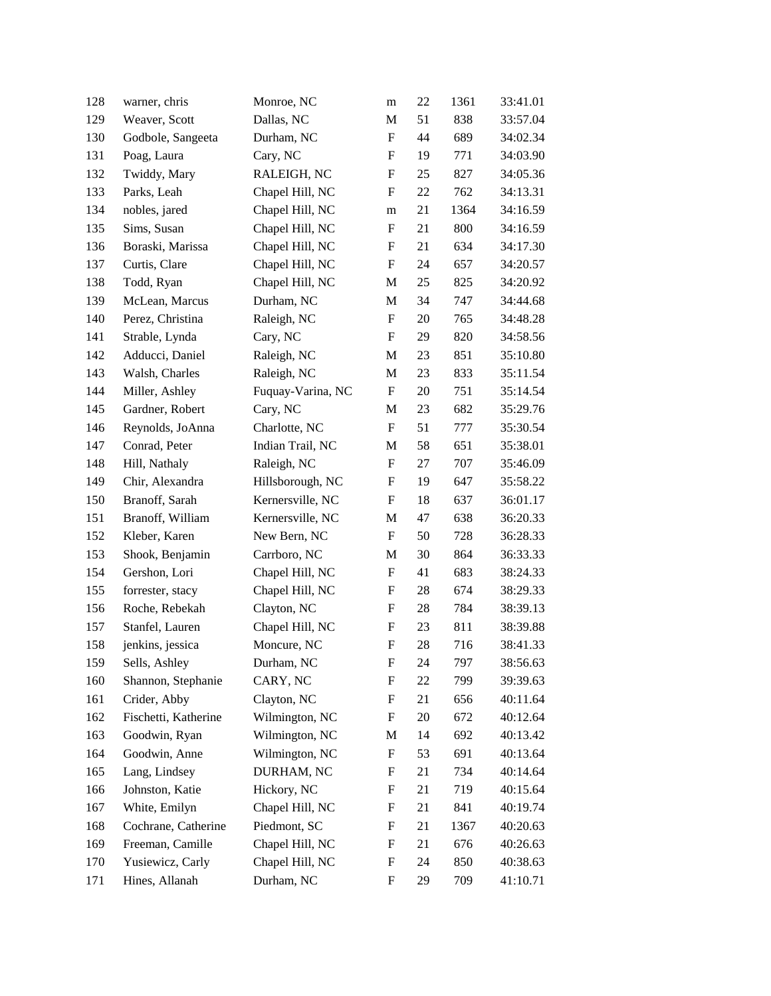| 128 | warner, chris        | Monroe, NC        | m                         | 22 | 1361 | 33:41.01 |
|-----|----------------------|-------------------|---------------------------|----|------|----------|
| 129 | Weaver, Scott        | Dallas, NC        | M                         | 51 | 838  | 33:57.04 |
| 130 | Godbole, Sangeeta    | Durham, NC        | $\boldsymbol{\mathrm{F}}$ | 44 | 689  | 34:02.34 |
| 131 | Poag, Laura          | Cary, NC          | F                         | 19 | 771  | 34:03.90 |
| 132 | Twiddy, Mary         | RALEIGH, NC       | F                         | 25 | 827  | 34:05.36 |
| 133 | Parks, Leah          | Chapel Hill, NC   | $\boldsymbol{\mathrm{F}}$ | 22 | 762  | 34:13.31 |
| 134 | nobles, jared        | Chapel Hill, NC   | m                         | 21 | 1364 | 34:16.59 |
| 135 | Sims, Susan          | Chapel Hill, NC   | $\boldsymbol{\mathrm{F}}$ | 21 | 800  | 34:16.59 |
| 136 | Boraski, Marissa     | Chapel Hill, NC   | F                         | 21 | 634  | 34:17.30 |
| 137 | Curtis, Clare        | Chapel Hill, NC   | F                         | 24 | 657  | 34:20.57 |
| 138 | Todd, Ryan           | Chapel Hill, NC   | M                         | 25 | 825  | 34:20.92 |
| 139 | McLean, Marcus       | Durham, NC        | M                         | 34 | 747  | 34:44.68 |
| 140 | Perez, Christina     | Raleigh, NC       | $\boldsymbol{\mathrm{F}}$ | 20 | 765  | 34:48.28 |
| 141 | Strable, Lynda       | Cary, NC          | F                         | 29 | 820  | 34:58.56 |
| 142 | Adducci, Daniel      | Raleigh, NC       | M                         | 23 | 851  | 35:10.80 |
| 143 | Walsh, Charles       | Raleigh, NC       | M                         | 23 | 833  | 35:11.54 |
| 144 | Miller, Ashley       | Fuquay-Varina, NC | F                         | 20 | 751  | 35:14.54 |
| 145 | Gardner, Robert      | Cary, NC          | M                         | 23 | 682  | 35:29.76 |
| 146 | Reynolds, JoAnna     | Charlotte, NC     | F                         | 51 | 777  | 35:30.54 |
| 147 | Conrad, Peter        | Indian Trail, NC  | M                         | 58 | 651  | 35:38.01 |
| 148 | Hill, Nathaly        | Raleigh, NC       | $\boldsymbol{\mathrm{F}}$ | 27 | 707  | 35:46.09 |
| 149 | Chir, Alexandra      | Hillsborough, NC  | F                         | 19 | 647  | 35:58.22 |
| 150 | Branoff, Sarah       | Kernersville, NC  | $\boldsymbol{\mathrm{F}}$ | 18 | 637  | 36:01.17 |
| 151 | Branoff, William     | Kernersville, NC  | M                         | 47 | 638  | 36:20.33 |
| 152 | Kleber, Karen        | New Bern, NC      | F                         | 50 | 728  | 36:28.33 |
| 153 | Shook, Benjamin      | Carrboro, NC      | M                         | 30 | 864  | 36:33.33 |
| 154 | Gershon, Lori        | Chapel Hill, NC   | F                         | 41 | 683  | 38:24.33 |
| 155 | forrester, stacy     | Chapel Hill, NC   | F                         | 28 | 674  | 38:29.33 |
| 156 | Roche, Rebekah       | Clayton, NC       | $\boldsymbol{F}$          | 28 | 784  | 38:39.13 |
| 157 | Stanfel, Lauren      | Chapel Hill, NC   | $\boldsymbol{F}$          | 23 | 811  | 38:39.88 |
| 158 | jenkins, jessica     | Moncure, NC       | ${\bf F}$                 | 28 | 716  | 38:41.33 |
| 159 | Sells, Ashley        | Durham, NC        | F                         | 24 | 797  | 38:56.63 |
| 160 | Shannon, Stephanie   | CARY, NC          | F                         | 22 | 799  | 39:39.63 |
| 161 | Crider, Abby         | Clayton, NC       | F                         | 21 | 656  | 40:11.64 |
| 162 | Fischetti, Katherine | Wilmington, NC    | ${\rm F}$                 | 20 | 672  | 40:12.64 |
| 163 | Goodwin, Ryan        | Wilmington, NC    | M                         | 14 | 692  | 40:13.42 |
| 164 | Goodwin, Anne        | Wilmington, NC    | $\boldsymbol{F}$          | 53 | 691  | 40:13.64 |
| 165 | Lang, Lindsey        | DURHAM, NC        | ${\bf F}$                 | 21 | 734  | 40:14.64 |
| 166 | Johnston, Katie      | Hickory, NC       | F                         | 21 | 719  | 40:15.64 |
| 167 | White, Emilyn        | Chapel Hill, NC   | ${\rm F}$                 | 21 | 841  | 40:19.74 |
| 168 | Cochrane, Catherine  | Piedmont, SC      | F                         | 21 | 1367 | 40:20.63 |
| 169 | Freeman, Camille     | Chapel Hill, NC   | F                         | 21 | 676  | 40:26.63 |
| 170 | Yusiewicz, Carly     | Chapel Hill, NC   | ${\bf F}$                 | 24 | 850  | 40:38.63 |
| 171 | Hines, Allanah       | Durham, NC        | F                         | 29 | 709  | 41:10.71 |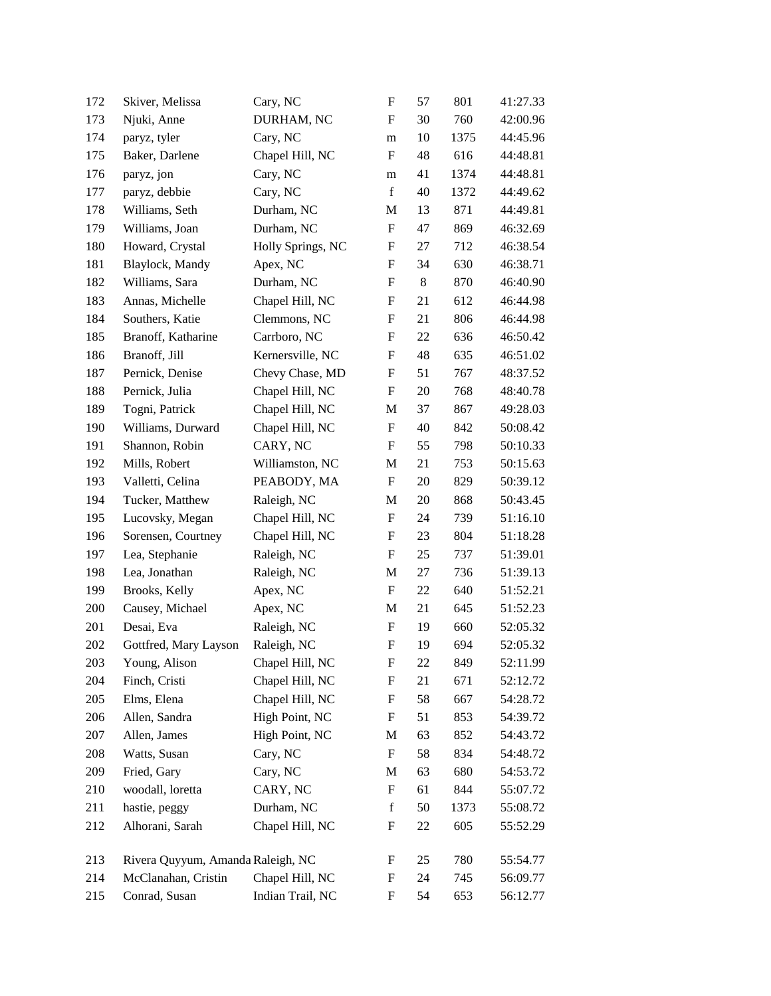| 172 | Skiver, Melissa                   | Cary, NC          | ${\rm F}$                 | 57    | 801  | 41:27.33 |
|-----|-----------------------------------|-------------------|---------------------------|-------|------|----------|
| 173 | Njuki, Anne                       | DURHAM, NC        | F                         | 30    | 760  | 42:00.96 |
| 174 | paryz, tyler                      | Cary, NC          | m                         | 10    | 1375 | 44:45.96 |
| 175 | Baker, Darlene                    | Chapel Hill, NC   | $\boldsymbol{\mathrm{F}}$ | 48    | 616  | 44:48.81 |
| 176 | paryz, jon                        | Cary, NC          | m                         | 41    | 1374 | 44:48.81 |
| 177 | paryz, debbie                     | Cary, NC          | $\mathbf f$               | 40    | 1372 | 44:49.62 |
| 178 | Williams, Seth                    | Durham, NC        | M                         | 13    | 871  | 44:49.81 |
| 179 | Williams, Joan                    | Durham, NC        | ${\rm F}$                 | 47    | 869  | 46:32.69 |
| 180 | Howard, Crystal                   | Holly Springs, NC | ${\rm F}$                 | 27    | 712  | 46:38.54 |
| 181 | Blaylock, Mandy                   | Apex, NC          | $\boldsymbol{\mathrm{F}}$ | 34    | 630  | 46:38.71 |
| 182 | Williams, Sara                    | Durham, NC        | ${\rm F}$                 | $8\,$ | 870  | 46:40.90 |
| 183 | Annas, Michelle                   | Chapel Hill, NC   | F                         | 21    | 612  | 46:44.98 |
| 184 | Southers, Katie                   | Clemmons, NC      | F                         | 21    | 806  | 46:44.98 |
| 185 | Branoff, Katharine                | Carrboro, NC      | ${\rm F}$                 | 22    | 636  | 46:50.42 |
| 186 | Branoff, Jill                     | Kernersville, NC  | $\boldsymbol{\mathrm{F}}$ | 48    | 635  | 46:51.02 |
| 187 | Pernick, Denise                   | Chevy Chase, MD   | $\boldsymbol{\mathrm{F}}$ | 51    | 767  | 48:37.52 |
| 188 | Pernick, Julia                    | Chapel Hill, NC   | F                         | 20    | 768  | 48:40.78 |
| 189 | Togni, Patrick                    | Chapel Hill, NC   | M                         | 37    | 867  | 49:28.03 |
| 190 | Williams, Durward                 | Chapel Hill, NC   | $\boldsymbol{\mathrm{F}}$ | 40    | 842  | 50:08.42 |
| 191 | Shannon, Robin                    | CARY, NC          | $\mathbf F$               | 55    | 798  | 50:10.33 |
| 192 | Mills, Robert                     | Williamston, NC   | M                         | 21    | 753  | 50:15.63 |
| 193 | Valletti, Celina                  | PEABODY, MA       | F                         | 20    | 829  | 50:39.12 |
| 194 | Tucker, Matthew                   | Raleigh, NC       | M                         | 20    | 868  | 50:43.45 |
| 195 | Lucovsky, Megan                   | Chapel Hill, NC   | $\boldsymbol{\mathrm{F}}$ | 24    | 739  | 51:16.10 |
| 196 | Sorensen, Courtney                | Chapel Hill, NC   | ${\bf F}$                 | 23    | 804  | 51:18.28 |
| 197 | Lea, Stephanie                    | Raleigh, NC       | $\boldsymbol{\mathrm{F}}$ | 25    | 737  | 51:39.01 |
| 198 | Lea, Jonathan                     | Raleigh, NC       | M                         | 27    | 736  | 51:39.13 |
| 199 | Brooks, Kelly                     | Apex, NC          | F                         | 22    | 640  | 51:52.21 |
| 200 | Causey, Michael                   | Apex, NC          | M                         | 21    | 645  | 51:52.23 |
| 201 | Desai, Eva                        | Raleigh, NC       | $\boldsymbol{\mathrm{F}}$ | 19    | 660  | 52:05.32 |
| 202 | Gottfred, Mary Layson             | Raleigh, NC       | ${\rm F}$                 | 19    | 694  | 52:05.32 |
| 203 | Young, Alison                     | Chapel Hill, NC   | F                         | 22    | 849  | 52:11.99 |
| 204 | Finch, Cristi                     | Chapel Hill, NC   | F                         | 21    | 671  | 52:12.72 |
| 205 | Elms, Elena                       | Chapel Hill, NC   | F                         | 58    | 667  | 54:28.72 |
| 206 | Allen, Sandra                     | High Point, NC    | $\boldsymbol{\mathrm{F}}$ | 51    | 853  | 54:39.72 |
| 207 | Allen, James                      | High Point, NC    | M                         | 63    | 852  | 54:43.72 |
| 208 | Watts, Susan                      | Cary, NC          | F                         | 58    | 834  | 54:48.72 |
| 209 | Fried, Gary                       | Cary, NC          | M                         | 63    | 680  | 54:53.72 |
| 210 | woodall, loretta                  | CARY, NC          | F                         | 61    | 844  | 55:07.72 |
| 211 | hastie, peggy                     | Durham, NC        | $\mathbf f$               | 50    | 1373 | 55:08.72 |
| 212 | Alhorani, Sarah                   | Chapel Hill, NC   | ${\rm F}$                 | 22    | 605  | 55:52.29 |
| 213 | Rivera Quyyum, Amanda Raleigh, NC |                   | F                         | 25    | 780  | 55:54.77 |
| 214 | McClanahan, Cristin               | Chapel Hill, NC   | F                         | 24    | 745  | 56:09.77 |
| 215 | Conrad, Susan                     | Indian Trail, NC  | ${\rm F}$                 | 54    | 653  | 56:12.77 |